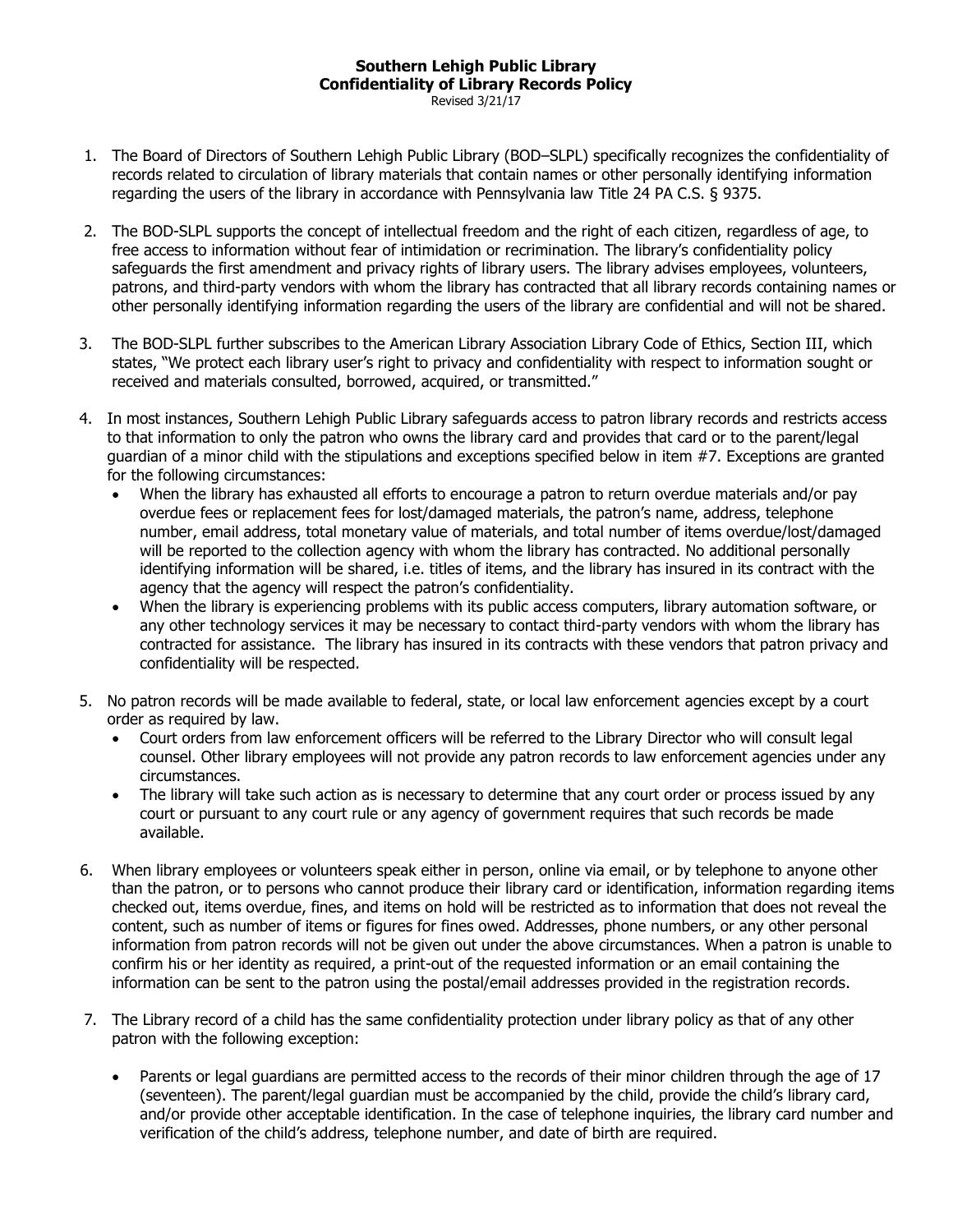## **Southern Lehigh Public Library Confidentiality of Library Records Policy**

- Revised 3/21/17
- 1. The Board of Directors of Southern Lehigh Public Library (BOD–SLPL) specifically recognizes the confidentiality of records related to circulation of library materials that contain names or other personally identifying information regarding the users of the library in accordance with Pennsylvania law Title 24 PA C.S. § 9375.
- 2. The BOD-SLPL supports the concept of intellectual freedom and the right of each citizen, regardless of age, to free access to information without fear of intimidation or recrimination. The library's confidentiality policy safeguards the first amendment and privacy rights of library users. The library advises employees, volunteers, patrons, and third-party vendors with whom the library has contracted that all library records containing names or other personally identifying information regarding the users of the library are confidential and will not be shared.
- 3. The BOD-SLPL further subscribes to the American Library Association Library Code of Ethics, Section III, which states, "We protect each library user's right to privacy and confidentiality with respect to information sought or received and materials consulted, borrowed, acquired, or transmitted."
- 4. In most instances, Southern Lehigh Public Library safeguards access to patron library records and restricts access to that information to only the patron who owns the library card and provides that card or to the parent/legal guardian of a minor child with the stipulations and exceptions specified below in item #7. Exceptions are granted for the following circumstances:
	- When the library has exhausted all efforts to encourage a patron to return overdue materials and/or pay overdue fees or replacement fees for lost/damaged materials, the patron's name, address, telephone number, email address, total monetary value of materials, and total number of items overdue/lost/damaged will be reported to the collection agency with whom the library has contracted. No additional personally identifying information will be shared, i.e. titles of items, and the library has insured in its contract with the agency that the agency will respect the patron's confidentiality.
	- When the library is experiencing problems with its public access computers, library automation software, or any other technology services it may be necessary to contact third-party vendors with whom the library has contracted for assistance. The library has insured in its contracts with these vendors that patron privacy and confidentiality will be respected.
- 5. No patron records will be made available to federal, state, or local law enforcement agencies except by a court order as required by law.
	- Court orders from law enforcement officers will be referred to the Library Director who will consult legal counsel. Other library employees will not provide any patron records to law enforcement agencies under any circumstances.
	- The library will take such action as is necessary to determine that any court order or process issued by any court or pursuant to any court rule or any agency of government requires that such records be made available.
- 6. When library employees or volunteers speak either in person, online via email, or by telephone to anyone other than the patron, or to persons who cannot produce their library card or identification, information regarding items checked out, items overdue, fines, and items on hold will be restricted as to information that does not reveal the content, such as number of items or figures for fines owed. Addresses, phone numbers, or any other personal information from patron records will not be given out under the above circumstances. When a patron is unable to confirm his or her identity as required, a print-out of the requested information or an email containing the information can be sent to the patron using the postal/email addresses provided in the registration records.
- 7. The Library record of a child has the same confidentiality protection under library policy as that of any other patron with the following exception:
	- Parents or legal guardians are permitted access to the records of their minor children through the age of 17 (seventeen). The parent/legal guardian must be accompanied by the child, provide the child's library card, and/or provide other acceptable identification. In the case of telephone inquiries, the library card number and verification of the child's address, telephone number, and date of birth are required.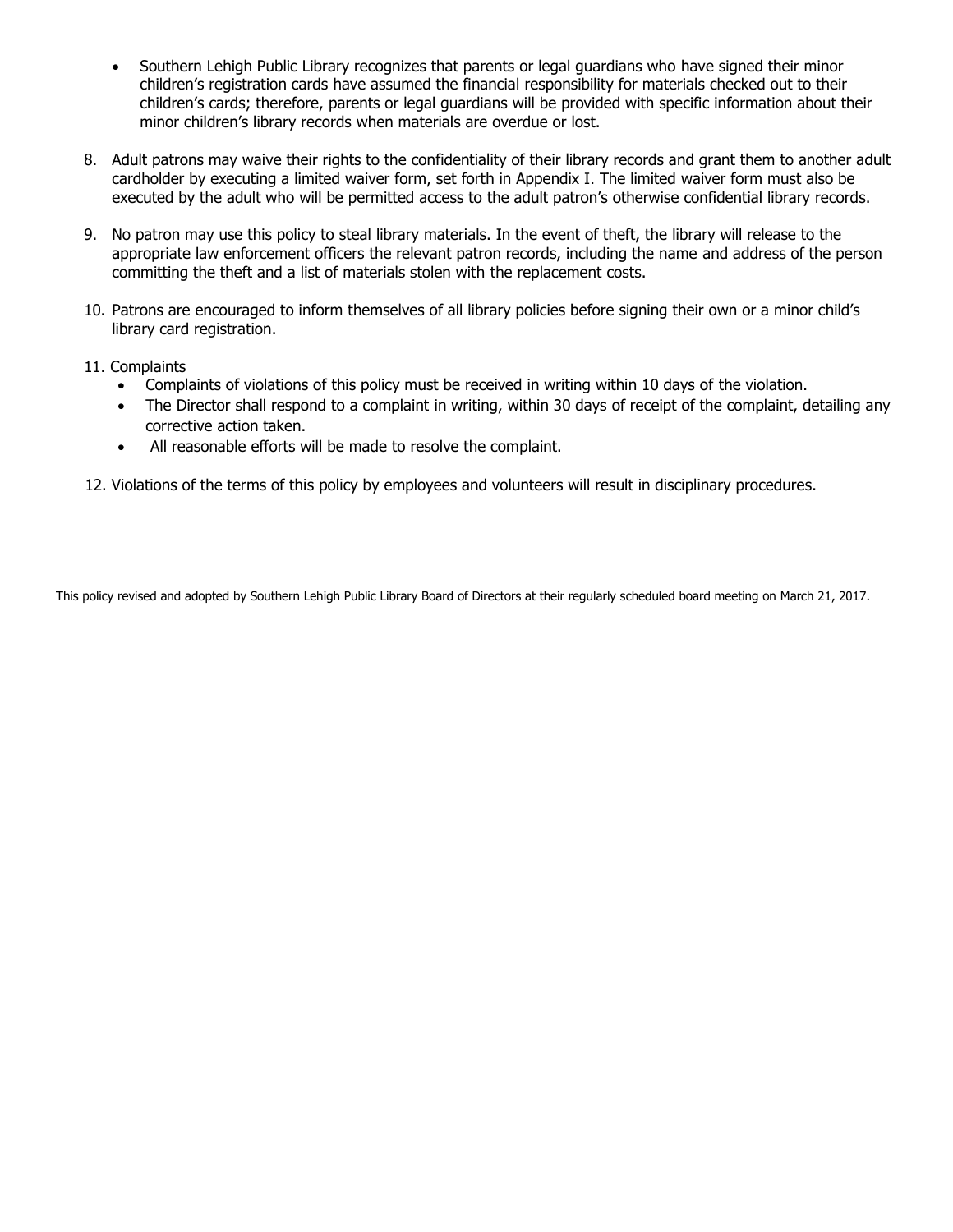- Southern Lehigh Public Library recognizes that parents or legal guardians who have signed their minor children's registration cards have assumed the financial responsibility for materials checked out to their children's cards; therefore, parents or legal guardians will be provided with specific information about their minor children's library records when materials are overdue or lost.
- 8. Adult patrons may waive their rights to the confidentiality of their library records and grant them to another adult cardholder by executing a limited waiver form, set forth in Appendix I. The limited waiver form must also be executed by the adult who will be permitted access to the adult patron's otherwise confidential library records.
- 9. No patron may use this policy to steal library materials. In the event of theft, the library will release to the appropriate law enforcement officers the relevant patron records, including the name and address of the person committing the theft and a list of materials stolen with the replacement costs.
- 10. Patrons are encouraged to inform themselves of all library policies before signing their own or a minor child's library card registration.
- 11. Complaints
	- Complaints of violations of this policy must be received in writing within 10 days of the violation.
	- The Director shall respond to a complaint in writing, within 30 days of receipt of the complaint, detailing any corrective action taken.
	- All reasonable efforts will be made to resolve the complaint.

12. Violations of the terms of this policy by employees and volunteers will result in disciplinary procedures.

This policy revised and adopted by Southern Lehigh Public Library Board of Directors at their regularly scheduled board meeting on March 21, 2017.